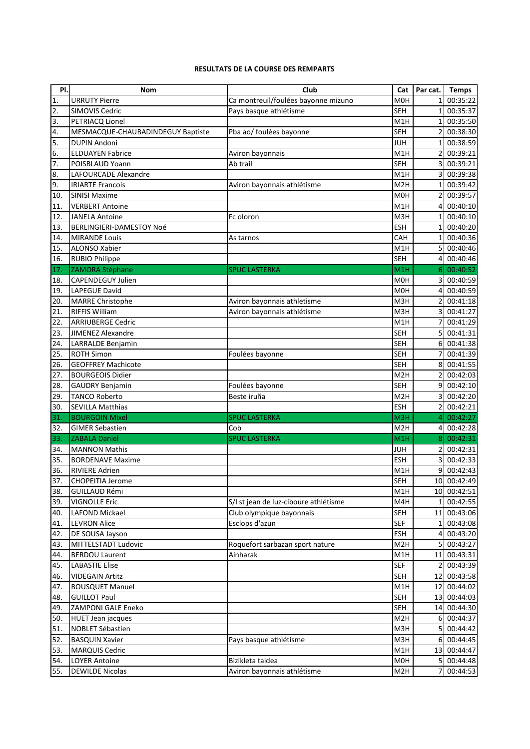## **RESULTATS DE LA COURSE DES REMPARTS**

| PI.              | <b>Nom</b>                        | Club                                  | Cat              | Par cat.        | <b>Temps</b> |
|------------------|-----------------------------------|---------------------------------------|------------------|-----------------|--------------|
| 1.               | <b>URRUTY Pierre</b>              | Ca montreuil/foulées bayonne mizuno   | <b>MOH</b>       |                 | 00:35:22     |
| $\overline{2}$ . | <b>SIMOVIS Cedric</b>             | Pays basque athlétisme                | <b>SEH</b>       | 1               | 00:35:37     |
| 3.               | PETRIACQ Lionel                   |                                       | M1H              | 1               | 00:35:50     |
| 4.               | MESMACQUE-CHAUBADINDEGUY Baptiste | Pba ao/ foulées bayonne               | <b>SEH</b>       |                 | 00:38:30     |
| 5.               | <b>DUPIN Andoni</b>               |                                       | <b>JUH</b>       |                 | 00:38:59     |
| 6.               | <b>ELDUAYEN Fabrice</b>           | Aviron bayonnais                      | M1H              |                 | 00:39:21     |
| 7.               | POISBLAUD Yoann                   | Ab trail                              | <b>SEH</b>       |                 | 00:39:21     |
| 8.               | LAFOURCADE Alexandre              |                                       | M1H              |                 | 00:39:38     |
| 9.               | <b>IRIARTE Francois</b>           | Aviron bayonnais athlétisme           | M <sub>2</sub> H |                 | 00:39:42     |
| 10.              | <b>SINISI Maxime</b>              |                                       | M <sub>O</sub> H | 2               | 00:39:57     |
| 11.              | <b>VERBERT Antoine</b>            |                                       | M1H              | 4               | 00:40:10     |
| 12.              | <b>JANELA Antoine</b>             | Fc oloron                             | M3H              | 1               | 00:40:10     |
| 13.              | BERLINGIERI-DAMESTOY Noé          |                                       | <b>ESH</b>       | 1               | 00:40:20     |
| 14.              | <b>MIRANDE Louis</b>              | As tarnos                             | CAH              | 1               | 00:40:36     |
| 15.              | <b>ALONSO Xabier</b>              |                                       | M1H              | 5               | 00:40:46     |
| 16.              | <b>RUBIO Philippe</b>             |                                       | <b>SEH</b>       | 4               | 00:40:46     |
| 17.              | ZAMORA Stéphane                   | <b>SPUC LASTERKA</b>                  | M1H              | 6               | 00:40:52     |
| 18.              | CAPENDEGUY Julien                 |                                       | <b>MOH</b>       | 3               | 00:40:59     |
| 19.              | LAPEGUE David                     |                                       | <b>MOH</b>       | 4               | 00:40:59     |
| 20.              | <b>MARRE Christophe</b>           | Aviron bayonnais athletisme           | M3H              |                 | 00:41:18     |
| 21.              | <b>RIFFIS William</b>             | Aviron bayonnais athlétisme           | M3H              |                 | 00:41:27     |
| 22.              | <b>ARRIUBERGE Cedric</b>          |                                       | M1H              |                 | 00:41:29     |
| 23.              | <b>JIMENEZ Alexandre</b>          |                                       | <b>SEH</b>       | 5               | 00:41:31     |
| 24.              | LARRALDE Benjamin                 |                                       | <b>SEH</b>       | 6               | 00:41:38     |
| 25.              | <b>ROTH Simon</b>                 | Foulées bayonne                       | <b>SEH</b>       |                 | 00:41:39     |
| 26.              | <b>GEOFFREY Machicote</b>         |                                       | <b>SEH</b>       | 8               | 00:41:55     |
| 27.              | <b>BOURGEOIS Didier</b>           |                                       | M <sub>2</sub> H | 2               | 00:42:03     |
| 28.              | <b>GAUDRY Benjamin</b>            | Foulées bayonne                       | <b>SEH</b>       | 9               | 00:42:10     |
| 29.              | <b>TANCO Roberto</b>              | Beste iruña                           | M <sub>2</sub> H |                 | 00:42:20     |
| 30.              | <b>SEVILLA Matthias</b>           |                                       | ESH              | 2               | 00:42:21     |
| 31.              | <b>BOURGOIN Mixel</b>             | <b>SPUC LASTERKA</b>                  | M <sub>3</sub> H |                 | 00:42:27     |
| 32.              | <b>GIMER Sebastien</b>            | Cob                                   | M <sub>2</sub> H | 4               | 00:42:28     |
| 33.              | <b>ZABALA Daniel</b>              | <b>SPUC LASTERKA</b>                  | M <sub>1</sub> H | 8               | 00:42:31     |
| 34.              | <b>MANNON Mathis</b>              |                                       | <b>JUH</b>       | 2               | 00:42:31     |
| 35.              | <b>BORDENAVE Maxime</b>           |                                       | <b>ESH</b>       | 3               | 00:42:33     |
| 36.              | <b>RIVIERE Adrien</b>             |                                       | M1H              | 9               | 00:42:43     |
| 37.              | CHOPEITIA Jerome                  |                                       | <b>SEH</b>       |                 | 10 00:42:49  |
| 38.              | <b>GUILLAUD Rémi</b>              |                                       | M1H              |                 | 10 00:42:51  |
| 39.              | <b>VIGNOLLE Eric</b>              | S/I st jean de luz-ciboure athlétisme | M4H              | 1               | 00:42:55     |
| 40.              | LAFOND Mickael                    | Club olympique bayonnais              | <b>SEH</b>       | 11              | 00:43:06     |
| 41.              | <b>LEVRON Alice</b>               | Esclops d'azun                        | <b>SEF</b>       | 1               | 00:43:08     |
| 42.              | DE SOUSA Jayson                   |                                       | <b>ESH</b>       | 4               | 00:43:20     |
| 43.              | MITTELSTADT Ludovic               | Roquefort sarbazan sport nature       | M <sub>2</sub> H | 5               | 00:43:27     |
| 44.              | <b>BERDOU Laurent</b>             | Ainharak                              | M1H              | 11              | 00:43:31     |
| 45.              | <b>LABASTIE Elise</b>             |                                       | <b>SEF</b>       | $\overline{2}$  | 00:43:39     |
|                  | <b>VIDEGAIN Artitz</b>            |                                       | <b>SEH</b>       |                 |              |
| 46.              | <b>BOUSQUET Manuel</b>            |                                       |                  | 12              | 00:43:58     |
| 47.              |                                   |                                       | M1H              | 12              | 00:44:02     |
| 48.              | <b>GUILLOT Paul</b>               |                                       | <b>SEH</b>       | 13              | 00:44:03     |
| 49.              | ZAMPONI GALE Eneko                |                                       | <b>SEH</b>       | 14              | 00:44:30     |
| 50.              | <b>HUET Jean jacques</b>          |                                       | M <sub>2</sub> H | 6               | 00:44:37     |
| 51.              | <b>NOBLET Sébastien</b>           |                                       | M3H              | 5               | 00:44:42     |
| 52.              | <b>BASQUIN Xavier</b>             | Pays basque athlétisme                | M3H              | 6               | 00:44:45     |
| 53.              | MARQUIS Cedric                    |                                       | M1H              | 13 <sub>l</sub> | 00:44:47     |
| 54.              | <b>LOYER Antoine</b>              | Bizikleta taldea                      | M0H              | 5               | 00:44:48     |
| 55.              | <b>DEWILDE Nicolas</b>            | Aviron bayonnais athlétisme           | M <sub>2</sub> H | 7               | 00:44:53     |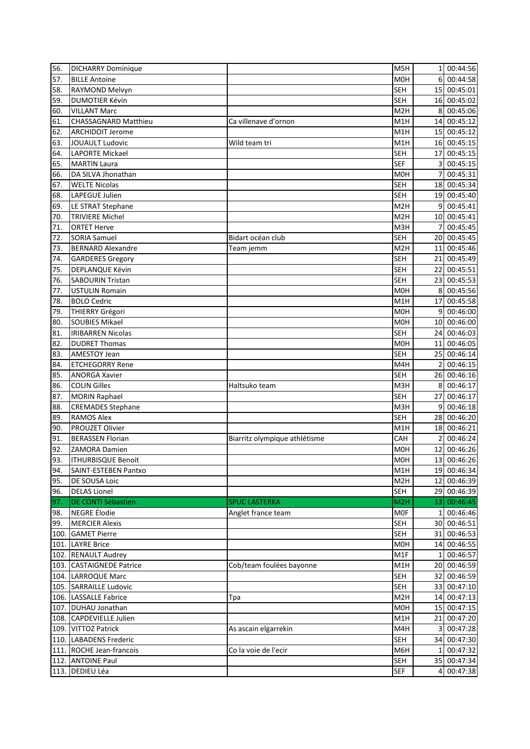| 56.  | <b>DICHARRY Dominique</b>                    |                               | M5H                      | 11              | 00:44:56                   |
|------|----------------------------------------------|-------------------------------|--------------------------|-----------------|----------------------------|
| 57.  | <b>BILLE Antoine</b>                         |                               | M <sub>O</sub> H         | 6               | 00:44:58                   |
| 58.  | RAYMOND Melvyn                               |                               | <b>SEH</b>               |                 | 15 00:45:01                |
| 59.  | <b>DUMOTIER Kévin</b>                        |                               | <b>SEH</b>               |                 | 16 00:45:02                |
| 60.  | <b>VILLANT Marc</b>                          |                               | M <sub>2</sub> H         | 8               | 00:45:06                   |
| 61.  | <b>CHASSAGNARD Matthieu</b>                  | Ca villenave d'ornon          | M1H                      | 14              | 00:45:12                   |
| 62.  | <b>ARCHIDOIT Jerome</b>                      |                               | M1H                      |                 | 15 00:45:12                |
| 63.  | <b>JOUAULT Ludovic</b>                       | Wild team tri                 | M1H                      | <b>16</b>       | 00:45:15                   |
| 64.  | LAPORTE Mickael                              |                               | <b>SEH</b>               | 17              | 00:45:15                   |
| 65.  | <b>MARTIN Laura</b>                          |                               | <b>SEF</b>               | 3               | 00:45:15                   |
| 66.  | DA SILVA Jhonathan                           |                               | M <sub>0</sub> H         |                 | 00:45:31                   |
| 67.  | <b>WELTE Nicolas</b>                         |                               | <b>SEH</b>               | 18              | 00:45:34                   |
| 68.  | LAPEGUE Julien                               |                               | <b>SEH</b>               |                 | 19 00:45:40                |
| 69.  | LE STRAT Stephane                            |                               | M <sub>2</sub> H         | 9               | 00:45:41                   |
| 70.  | <b>TRIVIERE Michel</b>                       |                               | M <sub>2</sub> H         |                 | 10 00:45:41                |
| 71.  | <b>ORTET Herve</b>                           |                               | M3H                      | 7               | 00:45:45                   |
| 72.  | <b>SORIA Samuel</b>                          | Bidart océan club             | <b>SEH</b>               | 20 <sup>1</sup> | 00:45:45                   |
| 73.  | <b>BERNARD Alexandre</b>                     | Team jemm                     | M <sub>2</sub> H         | 11              | 00:45:46                   |
| 74.  | <b>GARDERES Gregory</b>                      |                               | <b>SEH</b>               | 21              | 00:45:49                   |
| 75.  | DEPLANQUE Kévin                              |                               | <b>SEH</b>               | 22              | 00:45:51                   |
| 76.  | <b>SABOURIN Tristan</b>                      |                               | <b>SEH</b>               | 23              | 00:45:53                   |
| 77.  | <b>USTULIN Romain</b>                        |                               | <b>MOH</b>               | 8               | 00:45:56                   |
| 78.  | <b>BOLO Cedric</b>                           |                               | M <sub>1</sub> H         | 17              | 00:45:58                   |
| 79.  | <b>THIERRY Grégori</b>                       |                               | <b>MOH</b>               | 9               | 00:46:00                   |
| 80.  | <b>SOUBIES Mikael</b>                        |                               | <b>MOH</b>               | 10 <sup>1</sup> | 00:46:00                   |
| 81.  | <b>IRIBARREN Nicolas</b>                     |                               | <b>SEH</b>               | 24              | 00:46:03                   |
| 82.  | <b>DUDRET Thomas</b>                         |                               | <b>MOH</b>               | 11              | 00:46:05                   |
| 83.  | <b>AMESTOY Jean</b>                          |                               | <b>SEH</b>               | 25              | 00:46:14                   |
| 84.  | <b>ETCHEGORRY Rene</b>                       |                               | M4H                      | $\overline{2}$  | 00:46:15                   |
| 85.  | <b>ANORGA Xavier</b>                         |                               | <b>SEH</b>               | 26              | 00:46:16                   |
| 86.  | <b>COLIN Gilles</b>                          | Haltsuko team                 | M3H                      | 8 <sup>1</sup>  | 00:46:17                   |
| 87.  | <b>MORIN Raphael</b>                         |                               | <b>SEH</b>               | 27              | 00:46:17                   |
| 88.  | <b>CREMADES Stephane</b>                     |                               | M3H                      | 9               | 00:46:18                   |
| 89.  | <b>RAMOS Alex</b>                            |                               | <b>SEH</b>               | 28I             | 00:46:20                   |
| 90.  | <b>PROUZET Olivier</b>                       |                               | M1H                      | 18              | 00:46:21                   |
| 91.  | <b>BERASSEN Florian</b>                      | Biarritz olympique athlétisme | CAH                      | 2               | 00:46:24                   |
| 92.  | ZAMORA Damien                                |                               | <b>MOH</b>               | 12 <sub>l</sub> | 00:46:26                   |
| 93.  | <b>ITHURBISQUE Benoit</b>                    |                               | M0H                      |                 | 13 00:46:26                |
| 94.  | SAINT-ESTEBEN Pantxo                         |                               | M1H                      |                 | 19 00:46:34                |
| 95.  | DE SOUSA Loic                                |                               | M <sub>2</sub> H         |                 | 12 00:46:39                |
| 96.  | <b>DELAS Lionel</b>                          |                               | <b>SEH</b>               |                 | 29 00:46:39                |
| 97.  | DE CONTI Sébastien                           | <b>SPUC LASTERKA</b>          | M2H                      |                 | 13 00:46:45                |
| 98.  | NEGRE Élodie                                 | Anglet france team            | <b>MOF</b>               | 1 <sup>1</sup>  | 00:46:46                   |
| 99.  | <b>MERCIER Alexis</b>                        |                               | <b>SEH</b>               |                 | 30 00:46:51                |
| 100. | <b>GAMET Pierre</b>                          |                               | <b>SEH</b>               |                 | 31 00:46:53                |
| 101. | <b>LAYRE Brice</b>                           |                               | M0H                      |                 | 14 00:46:55                |
|      | 102. RENAULT Audrey                          |                               | M1F                      | $\mathbf{1}$    | 00:46:57                   |
|      | 103. CASTAIGNEDE Patrice                     | Cob/team foulées bayonne      | M1H                      |                 | 20 00:46:59                |
|      |                                              |                               |                          |                 |                            |
|      | 104. LARROQUE Marc<br>105. SARRAILLE Ludovic |                               | <b>SEH</b><br><b>SEH</b> |                 | 32 00:46:59<br>33 00:47:10 |
|      | 106. LASSALLE Fabrice                        | Tpa                           | M <sub>2</sub> H         |                 | 14 00:47:13                |
|      |                                              |                               |                          |                 |                            |
|      | 107. DUHAU Jonathan                          |                               | M0H                      |                 | 15 00:47:15                |
|      | 108. CAPDEVIELLE Julien                      |                               | M1H                      | 21              | 00:47:20                   |
|      | 109. VITTOZ Patrick                          | As ascain elgarrekin          | M4H                      | 3               | 00:47:28                   |
|      | 110. LABADENS Frederic                       |                               | <b>SEH</b>               | 34              | 00:47:30                   |
|      | 111. ROCHE Jean-francois                     | Co la voie de l'ecir          | M6H                      | $\mathbf{1}$    | 00:47:32                   |
|      | 112. ANTOINE Paul<br>113. DEDIEU Léa         |                               | <b>SEH</b>               |                 | 35 00:47:34                |
|      |                                              |                               | <b>SEF</b>               | 41              | 00:47:38                   |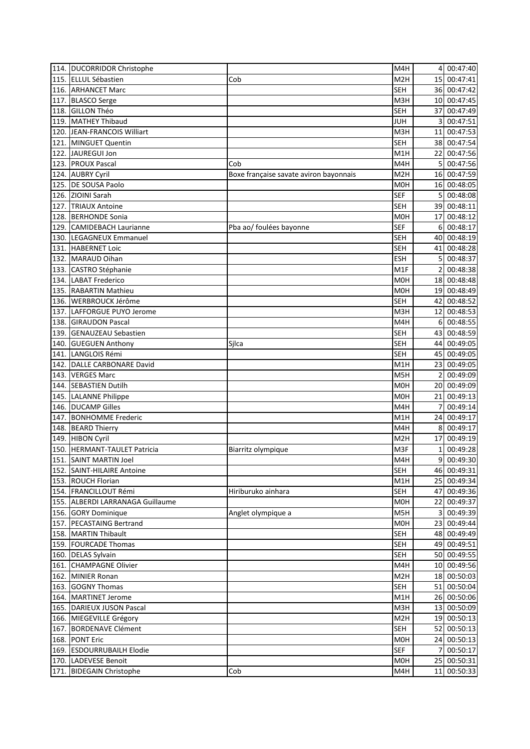|      | 114. DUCORRIDOR Christophe       |                                        | M4H              | $\overline{4}$  | 00:47:40    |
|------|----------------------------------|----------------------------------------|------------------|-----------------|-------------|
|      | 115. ELLUL Sébastien             | Cob                                    | M <sub>2</sub> H |                 | 15 00:47:41 |
|      | 116. ARHANCET Marc               |                                        | <b>SEH</b>       |                 | 36 00:47:42 |
|      | 117. BLASCO Serge                |                                        | M3H              | 10 <sup>1</sup> | 00:47:45    |
|      | 118. GILLON Théo                 |                                        | <b>SEH</b>       | 37              | 00:47:49    |
| 119. | <b>MATHEY Thibaud</b>            |                                        | <b>JUH</b>       | 3               | 00:47:51    |
|      | 120. JEAN-FRANCOIS Williart      |                                        | M3H              | 11              | 00:47:53    |
| 121. | <b>MINGUET Quentin</b>           |                                        | <b>SEH</b>       |                 | 38 00:47:54 |
| 122. | JAUREGUI Jon                     |                                        | M1H              | 22 I            | 00:47:56    |
| 123. | <b>PROUX Pascal</b>              | Cob                                    | M4H              | 5               | 00:47:56    |
| 124. | <b>AUBRY Cyril</b>               | Boxe française savate aviron bayonnais | M <sub>2</sub> H |                 | 16 00:47:59 |
| 125. | DE SOUSA Paolo                   |                                        | M <sub>OH</sub>  |                 | 16 00:48:05 |
|      | 126. ZIOINI Sarah                |                                        | <b>SEF</b>       | 5               | 00:48:08    |
|      |                                  |                                        | <b>SEH</b>       |                 | 39 00:48:11 |
| 127. | <b>TRIAUX Antoine</b>            |                                        |                  |                 |             |
| 128. | <b>BERHONDE Sonia</b>            |                                        | M <sub>OH</sub>  | 17 <sup>1</sup> | 00:48:12    |
| 129. | <b>CAMIDEBACH Laurianne</b>      | Pba ao/ foulées bayonne                | <b>SEF</b>       | 6               | 00:48:17    |
| 130. | LEGAGNEUX Emmanuel               |                                        | <b>SEH</b>       | 40              | 00:48:19    |
| 131. | <b>HABERNET Loic</b>             |                                        | <b>SEH</b>       | 41              | 00:48:28    |
| 132. | MARAUD Oihan                     |                                        | <b>ESH</b>       | 5               | 00:48:37    |
| 133. | CASTRO Stéphanie                 |                                        | M <sub>1</sub> F |                 | 00:48:38    |
| 134. | <b>LABAT Frederico</b>           |                                        | <b>MOH</b>       | 18 <sup>1</sup> | 00:48:48    |
| 135. | <b>RABARTIN Mathieu</b>          |                                        | M <sub>O</sub> H | 19              | 00:48:49    |
|      | 136. WERBROUCK Jérôme            |                                        | <b>SEH</b>       | 42              | 00:48:52    |
| 137. | LAFFORGUE PUYO Jerome            |                                        | M3H              | 12              | 00:48:53    |
|      | 138. GIRAUDON Pascal             |                                        | M4H              | 6               | 00:48:55    |
| 139. | <b>GENAUZEAU Sebastien</b>       |                                        | <b>SEH</b>       | 43              | 00:48:59    |
| 140. | <b>GUEGUEN Anthony</b>           | Silca                                  | <b>SEH</b>       | 44              | 00:49:05    |
| 141. | LANGLOIS Rémi                    |                                        | <b>SEH</b>       | 45              | 00:49:05    |
| 142. | DALLE CARBONARE David            |                                        | M1H              | 23              | 00:49:05    |
| 143. | <b>VERGES Marc</b>               |                                        | M5H              | 2               | 00:49:09    |
| 144. | <b>SEBASTIEN Dutilh</b>          |                                        | M <sub>O</sub> H | 20 l            | 00:49:09    |
|      | 145. LALANNE Philippe            |                                        | M <sub>O</sub> H | 21              | 00:49:13    |
| 146. | <b>DUCAMP Gilles</b>             |                                        | M4H              |                 | 00:49:14    |
| 147. | <b>BONHOMME Frederic</b>         |                                        | M1H              | 24              | 00:49:17    |
|      | 148. BEARD Thierry               |                                        | M4H              | 8               | 00:49:17    |
| 149. | <b>HIBON Cyril</b>               |                                        | M2H              | 17              | 00:49:19    |
| 150. | <b>HERMANT-TAULET Patricia</b>   | Biarritz olympique                     | M3F              | 1               | 00:49:28    |
|      | 151. SAINT MARTIN Joel           |                                        | M4H              | 9               | 00:49:30    |
|      | 152. SAINT-HILAIRE Antoine       |                                        | <b>SEH</b>       |                 | 46 00:49:31 |
|      | 153. ROUCH Florian               |                                        | M1H              |                 | 25 00:49:34 |
|      | 154. FRANCILLOUT Rémi            | Hiriburuko ainhara                     | <b>SEH</b>       |                 | 47 00:49:36 |
|      | 155. ALBERDI LARRANAGA Guillaume |                                        | M0H              |                 |             |
|      |                                  |                                        |                  |                 | 22 00:49:37 |
|      | 156. GORY Dominique              | Anglet olympique a                     | M5H              | $\overline{3}$  | 00:49:39    |
|      | 157. PECASTAING Bertrand         |                                        | M0H              |                 | 23 00:49:44 |
|      | 158. MARTIN Thibault             |                                        | <b>SEH</b>       |                 | 48 00:49:49 |
|      | 159. FOURCADE Thomas             |                                        | <b>SEH</b>       |                 | 49 00:49:51 |
|      | 160. DELAS Sylvain               |                                        | <b>SEH</b>       |                 | 50 00:49:55 |
| 161. | <b>CHAMPAGNE Olivier</b>         |                                        | M4H              |                 | 10 00:49:56 |
|      | 162. MINIER Ronan                |                                        | M <sub>2</sub> H |                 | 18 00:50:03 |
|      | 163. GOGNY Thomas                |                                        | <b>SEH</b>       |                 | 51 00:50:04 |
|      | 164. MARTINET Jerome             |                                        | M1H              |                 | 26 00:50:06 |
|      | 165. DARIEUX JUSON Pascal        |                                        | M3H              |                 | 13 00:50:09 |
|      | 166. MIEGEVILLE Grégory          |                                        | M <sub>2</sub> H |                 | 19 00:50:13 |
|      | 167. BORDENAVE Clément           |                                        | <b>SEH</b>       |                 | 52 00:50:13 |
|      | 168. PONT Eric                   |                                        | M0H              |                 | 24 00:50:13 |
| 169. | <b>ESDOURRUBAILH Elodie</b>      |                                        | <b>SEF</b>       | 7               | 00:50:17    |
|      | 170. LADEVESE Benoit             |                                        | M0H              |                 | 25 00:50:31 |
|      | 171. BIDEGAIN Christophe         | Cob                                    | M4H              |                 | 11 00:50:33 |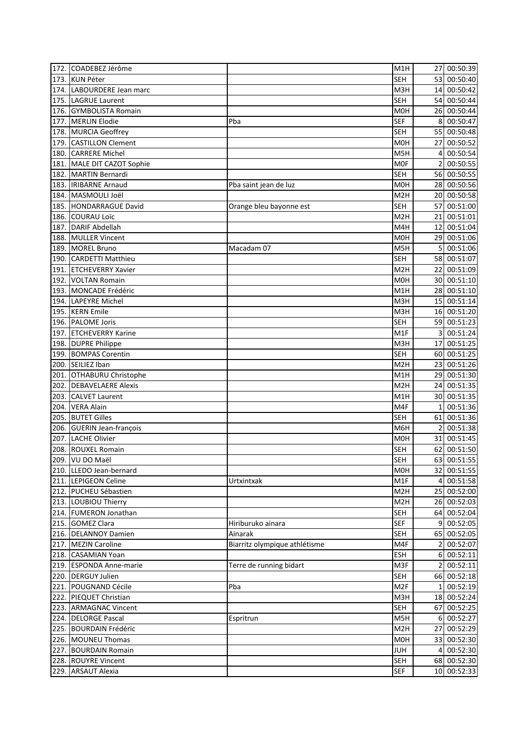|      | 172. COADEBEZ Jérôme                        |                               | M1H                      |                | 27 00:50:39 |
|------|---------------------------------------------|-------------------------------|--------------------------|----------------|-------------|
|      | 173. KUN Péter                              |                               | <b>SEH</b>               |                | 53 00:50:40 |
|      | 174. LABOURDERE Jean marc                   |                               | M3H                      |                | 14 00:50:42 |
|      | 175. LAGRUE Laurent                         |                               | <b>SEH</b>               |                | 54 00:50:44 |
|      | 176. GYMBOLISTA Romain                      |                               | M <sub>O</sub> H         |                | 26 00:50:44 |
|      | 177. MERLIN Elodie                          | Pba                           | <b>SEF</b>               | 8              | 00:50:47    |
|      | 178. MURCIA Geoffrey                        |                               | <b>SEH</b>               | 55             | 00:50:48    |
| 179. | <b>CASTILLON Clement</b>                    |                               | M <sub>O</sub> H         | 27             | 00:50:52    |
| 180. | <b>CARRERE Michel</b>                       |                               | M <sub>5</sub> H         | 4              | 00:50:54    |
|      | 181. MALE DIT CAZOT Sophie                  |                               | <b>MOF</b>               | 2              | 00:50:55    |
|      | 182. MARTIN Bernardi                        |                               | <b>SEH</b>               |                | 56 00:50:55 |
|      | 183. IRIBARNE Arnaud                        | Pba saint jean de luz         | M <sub>O</sub> H         |                | 28 00:50:56 |
|      | 184. MASMOULI Joël                          |                               | M <sub>2</sub> H         |                | 20 00:50:58 |
|      | 185. HONDARRAGUE David                      | Orange bleu bayonne est       | <b>SEH</b>               |                | 57 00:51:00 |
|      | 186. COURAU Loïc                            |                               | M <sub>2</sub> H         |                | 21 00:51:01 |
|      | 187. DARIF Abdellah                         |                               | M4H                      | 12             | 00:51:04    |
|      | 188. MULLER Vincent                         |                               | <b>MOH</b>               |                | 29 00:51:06 |
|      | 189. MOREL Bruno                            |                               | M5H                      | 5              | 00:51:06    |
|      |                                             | Macadam 07                    |                          |                |             |
|      | 190. CARDETTI Matthieu                      |                               | <b>SEH</b>               |                | 58 00:51:07 |
| 191. | <b>ETCHEVERRY Xavier</b>                    |                               | M <sub>2</sub> H         | 22             | 00:51:09    |
| 192. | <b>VOLTAN Romain</b>                        |                               | <b>MOH</b>               |                | 30 00:51:10 |
|      | 193. MONCADE Frédéric                       |                               | M1H                      |                | 28 00:51:10 |
|      | 194. LAPEYRE Michel                         |                               | M3H                      |                | 15 00:51:14 |
| 195. | <b>KERN</b> Emile                           |                               | M3H                      |                | 16 00:51:20 |
|      | 196. PALOME Joris                           |                               | <b>SEH</b>               |                | 59 00:51:23 |
| 197. | <b>ETCHEVERRY Karine</b>                    |                               | M1F                      | 3              | 00:51:24    |
|      | 198. DUPRE Philippe                         |                               | M3H                      | 17             | 00:51:25    |
| 199. | <b>BOMPAS Corentin</b>                      |                               | <b>SEH</b>               |                | 60 00:51:25 |
| 200. | SEILIEZ Iban                                |                               | M <sub>2</sub> H         |                | 23 00:51:26 |
| 201. | OTHABURU Christophe                         |                               | M1H                      | 29             | 00:51:30    |
| 202. | <b>DEBAVELAERE Alexis</b>                   |                               | M <sub>2</sub> H         | 24             | 00:51:35    |
| 203. | <b>CALVET Laurent</b>                       |                               | M1H                      |                | 30 00:51:35 |
| 204. | <b>VERA Alain</b>                           |                               | M4F                      | 1              | 00:51:36    |
| 205. | <b>BUTET Gilles</b>                         |                               | <b>SEH</b>               | 61             | 00:51:36    |
| 206. | <b>GUERIN Jean-françois</b>                 |                               | M6H                      | $\overline{2}$ | 00:51:38    |
| 207. | <b>LACHE Olivier</b>                        |                               | M <sub>O</sub> H         |                | 31 00:51:45 |
|      | 208. ROUXEL Romain                          |                               | <b>SEH</b>               |                | 62 00:51:50 |
|      | 209. VU DO Maël                             |                               | <b>SEH</b>               |                | 63 00:51:55 |
|      | 210. LLEDO Jean-bernard                     |                               | M0H                      |                | 32 00:51:55 |
|      | 211. LEPIGEON Celine                        | Urtxintxak                    | M1F                      | 4              | 00:51:58    |
|      | 212. PUCHEU Sébastien                       |                               | M <sub>2</sub> H         |                | 25 00:52:00 |
|      | 213. LOUBIOU Thierry                        |                               | M <sub>2</sub> H         |                | 26 00:52:03 |
|      | 214. FUMERON Jonathan                       |                               | <b>SEH</b>               |                | 64 00:52:04 |
|      | 215. GOMEZ Clara                            | Hiriburuko ainara             | <b>SEF</b>               | 9              | 00:52:05    |
|      | 216. DELANNOY Damien                        | Ainarak                       | <b>SEH</b>               |                | 65 00:52:05 |
|      | 217. MEZIN Caroline                         | Biarritz olympique athlétisme | M4F                      | $\overline{2}$ | 00:52:07    |
|      | 218. CASAMIAN Yoan                          |                               | ESH                      |                | 6 00:52:11  |
|      | 219. ESPONDA Anne-marie                     | Terre de running bidart       | M3F                      |                | 2 00:52:11  |
|      | 220. DERGUY Julien                          |                               | SEH                      |                | 66 00:52:18 |
|      | 221. POUGNAND Cécile                        | Pba                           | M <sub>2F</sub>          | 1 <sup>1</sup> | 00:52:19    |
|      | 222. PIEQUET Christian                      |                               | M3H                      |                | 18 00:52:24 |
|      | 223. ARMAGNAC Vincent                       |                               | <b>SEH</b>               |                | 67 00:52:25 |
|      |                                             |                               | M5H                      |                | 6 00:52:27  |
|      | 224. DELORGE Pascal                         | Espritrun                     | M <sub>2</sub> H         |                |             |
|      | 225. BOURDAIN Frédéric                      |                               | M0H                      |                | 27 00:52:29 |
|      | 226. MOUNEU Thomas                          |                               |                          |                | 33 00:52:30 |
|      | 227. BOURDAIN Romain<br>228. ROUYRE Vincent |                               | <b>JUH</b><br><b>SEH</b> |                | 4 00:52:30  |
|      |                                             |                               |                          |                | 68 00:52:30 |
|      | 229. ARSAUT Alexia                          |                               | <b>SEF</b>               |                | 10 00:52:33 |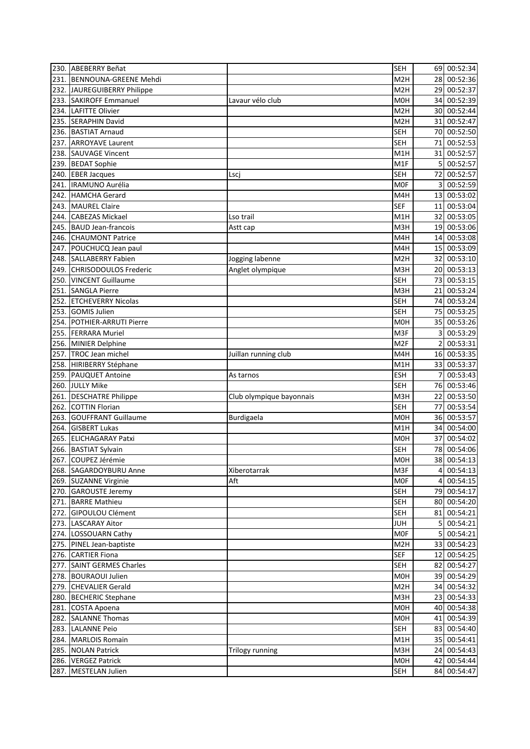| 230. | <b>ABEBERRY Beñat</b>        |                          | <b>SEH</b>       |                | 69 00:52:34 |
|------|------------------------------|--------------------------|------------------|----------------|-------------|
| 231. | <b>BENNOUNA-GREENE Mehdi</b> |                          | M <sub>2</sub> H |                | 28 00:52:36 |
| 232. | JAUREGUIBERRY Philippe       |                          | M <sub>2</sub> H |                | 29 00:52:37 |
| 233. | <b>SAKIROFF Emmanuel</b>     | Lavaur vélo club         | M <sub>O</sub> H | 34             | 00:52:39    |
| 234. | <b>LAFITTE Olivier</b>       |                          | M <sub>2</sub> H |                | 30 00:52:44 |
| 235. | <b>SERAPHIN David</b>        |                          | M <sub>2</sub> H | 31             | 00:52:47    |
| 236. | <b>BASTIAT Arnaud</b>        |                          | <b>SEH</b>       |                | 70 00:52:50 |
| 237. | <b>ARROYAVE Laurent</b>      |                          | <b>SEH</b>       | 71             | 00:52:53    |
| 238. | <b>SAUVAGE Vincent</b>       |                          | M1H              | 31             | 00:52:57    |
| 239. | <b>BEDAT Sophie</b>          |                          | M1F              | 5              | 00:52:57    |
| 240. | <b>EBER Jacques</b>          | Lsci                     | <b>SEH</b>       | 72             | 00:52:57    |
| 241. | IRAMUNO Aurélia              |                          | <b>MOF</b>       | 3              | 00:52:59    |
| 242. | <b>HAMCHA Gerard</b>         |                          | M4H              |                | 13 00:53:02 |
| 243. | <b>MAUREL Claire</b>         |                          | <b>SEF</b>       |                | 11 00:53:04 |
| 244. | <b>CABEZAS Mickael</b>       | Lso trail                | M1H              |                | 32 00:53:05 |
| 245. | <b>BAUD Jean-francois</b>    | Astt cap                 | M3H              |                | 19 00:53:06 |
| 246. | <b>CHAUMONT Patrice</b>      |                          | M4H              | 14             | 00:53:08    |
| 247. | POUCHUCQ Jean paul           |                          | M4H              |                | 15 00:53:09 |
| 248. | <b>SALLABERRY Fabien</b>     | Jogging labenne          | M <sub>2</sub> H |                | 32 00:53:10 |
| 249. | <b>CHRISODOULOS Frederic</b> | Anglet olympique         | M3H              |                | 20 00:53:13 |
| 250. | <b>VINCENT Guillaume</b>     |                          | <b>SEH</b>       |                | 73 00:53:15 |
| 251. | <b>SANGLA Pierre</b>         |                          | M3H              | 21             | 00:53:24    |
| 252. | <b>ETCHEVERRY Nicolas</b>    |                          | <b>SEH</b>       |                | 74 00:53:24 |
| 253. | <b>GOMIS Julien</b>          |                          | <b>SEH</b>       |                | 75 00:53:25 |
| 254. | POTHIER-ARRUTI Pierre        |                          | <b>MOH</b>       |                | 35 00:53:26 |
| 255. | <b>FERRARA Muriel</b>        |                          | M3F              | 3              | 00:53:29    |
| 256. | <b>MINIER Delphine</b>       |                          | M <sub>2F</sub>  | $\overline{2}$ | 00:53:31    |
| 257. | <b>TROC Jean michel</b>      | Juillan running club     | M4H              |                | 16 00:53:35 |
| 258. | <b>HIRIBERRY Stéphane</b>    |                          | M <sub>1</sub> H |                | 33 00:53:37 |
| 259. | <b>PAUQUET Antoine</b>       | As tarnos                | <b>ESH</b>       |                | 00:53:43    |
| 260. | <b>JULLY Mike</b>            |                          | <b>SEH</b>       |                | 76 00:53:46 |
| 261. | <b>DESCHATRE Philippe</b>    | Club olympique bayonnais | M3H              | 22             | 00:53:50    |
| 262. | <b>COTTIN Florian</b>        |                          | <b>SEH</b>       | 77             | 00:53:54    |
| 263. | <b>GOUFFRANT Guillaume</b>   | <b>Burdigaela</b>        | <b>MOH</b>       | 36             | 00:53:57    |
| 264. | <b>GISBERT Lukas</b>         |                          | M1H              | 34             | 00:54:00    |
| 265. | <b>ELICHAGARAY Patxi</b>     |                          | M <sub>O</sub> H | 37             | 00:54:02    |
| 266. | <b>BASTIAT Sylvain</b>       |                          | <b>SEH</b>       |                | 78 00:54:06 |
|      | 267. COUPEZ Jérémie          |                          | M0H              |                | 38 00:54:13 |
|      | 268. SAGARDOYBURU Anne       | Xiberotarrak             | M3F              | $\overline{4}$ | 00:54:13    |
|      | 269. SUZANNE Virginie        | Aft                      | <b>MOF</b>       | 4              | 00:54:15    |
|      | 270. GAROUSTE Jeremy         |                          | <b>SEH</b>       |                | 79 00:54:17 |
| 271. | <b>BARRE Mathieu</b>         |                          | <b>SEH</b>       |                | 80 00:54:20 |
|      | 272. GIPOULOU Clément        |                          | <b>SEH</b>       |                | 81 00:54:21 |
|      | 273. LASCARAY Aitor          |                          | <b>JUH</b>       | 5 <sub>l</sub> | 00:54:21    |
|      | 274. LOSSOUARN Cathy         |                          | <b>MOF</b>       | 5              | 00:54:21    |
|      | 275. PINEL Jean-baptiste     |                          | M <sub>2</sub> H |                | 33 00:54:23 |
|      | 276. CARTIER Fiona           |                          | <b>SEF</b>       |                | 12 00:54:25 |
|      | 277. SAINT GERMES Charles    |                          | <b>SEH</b>       |                | 82 00:54:27 |
|      | 278. BOURAOUI Julien         |                          | M0H              |                | 39 00:54:29 |
|      | 279. CHEVALIER Gerald        |                          | M <sub>2</sub> H |                | 34 00:54:32 |
|      | 280. BECHERIC Stephane       |                          | M3H              |                | 23 00:54:33 |
|      | 281. COSTA Apoena            |                          | M0H              |                | 40 00:54:38 |
|      | 282. SALANNE Thomas          |                          | M0H              |                | 41 00:54:39 |
|      | 283. LALANNE Peio            |                          | SEH              |                | 83 00:54:40 |
|      | 284. MARLOIS Romain          |                          | M1H              |                | 35 00:54:41 |
|      | 285. NOLAN Patrick           | Trilogy running          | M3H              |                | 24 00:54:43 |
|      | 286. VERGEZ Patrick          |                          | M0H              |                | 42 00:54:44 |
|      | 287. MESTELAN Julien         |                          | <b>SEH</b>       |                | 84 00:54:47 |
|      |                              |                          |                  |                |             |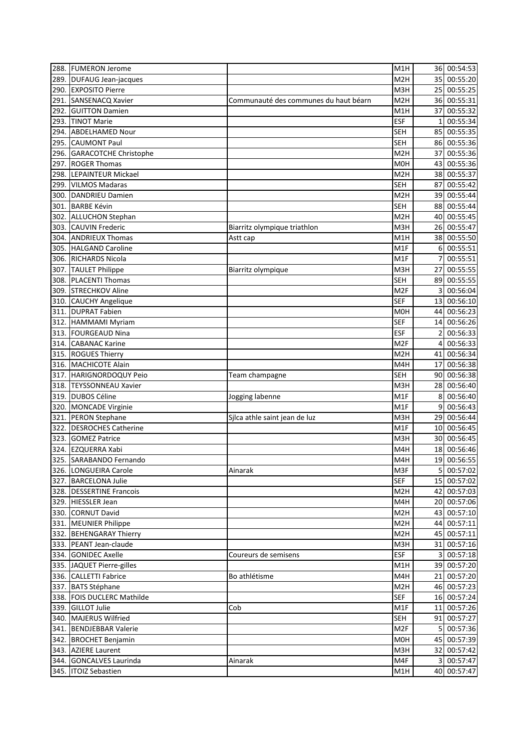| 288. | <b>FUMERON Jerome</b>        |                                       | M1H              |                | 36 00:54:53               |
|------|------------------------------|---------------------------------------|------------------|----------------|---------------------------|
| 289. | <b>DUFAUG Jean-jacques</b>   |                                       | M <sub>2</sub> H |                | 35 00:55:20               |
| 290. | <b>EXPOSITO Pierre</b>       |                                       | M3H              |                | 25 00:55:25               |
| 291. | SANSENACQ Xavier             | Communauté des communes du haut béarn | M <sub>2</sub> H |                | 36 00:55:31               |
| 292. | <b>GUITTON Damien</b>        |                                       | M1H              | 37             | 00:55:32                  |
| 293. | <b>TINOT Marie</b>           |                                       | <b>ESF</b>       | 1              | 00:55:34                  |
| 294. | <b>ABDELHAMED Nour</b>       |                                       | <b>SEH</b>       |                | 85 00:55:35               |
| 295. | <b>CAUMONT Paul</b>          |                                       | <b>SEH</b>       |                | 86 00:55:36               |
| 296. | <b>GARACOTCHE Christophe</b> |                                       | M <sub>2</sub> H | 37             | 00:55:36                  |
| 297. | <b>ROGER Thomas</b>          |                                       | M <sub>O</sub> H |                | 43 00:55:36               |
| 298. | <b>LEPAINTEUR Mickael</b>    |                                       | M <sub>2</sub> H |                | 38 00:55:37               |
| 299. | <b>VILMOS Madaras</b>        |                                       | <b>SEH</b>       |                | 87 00:55:42               |
| 300. | <b>DANDRIEU Damien</b>       |                                       | M <sub>2</sub> H |                | 39 00:55:44               |
| 301. | <b>BARBE Kévin</b>           |                                       | <b>SEH</b>       |                | 88 00:55:44               |
| 302. | <b>ALLUCHON Stephan</b>      |                                       | M <sub>2</sub> H |                | 40 00:55:45               |
| 303. | <b>CAUVIN Frederic</b>       | Biarritz olympique triathlon          | M3H              |                | 26 00:55:47               |
| 304. | <b>ANDRIEUX Thomas</b>       |                                       | M1H              |                | 38 00:55:50               |
|      | <b>HALGAND Caroline</b>      | Astt cap                              | M <sub>1</sub> F |                | 6 00:55:51                |
| 305. |                              |                                       |                  |                |                           |
| 306. | <b>RICHARDS Nicola</b>       |                                       | M <sub>1</sub> F | 7              | 00:55:51                  |
| 307. | <b>TAULET Philippe</b>       | Biarritz olympique                    | M3H              | 27             | 00:55:55                  |
| 308. | <b>PLACENTI Thomas</b>       |                                       | <b>SEH</b>       |                | 89 00:55:55               |
| 309. | <b>STRECHKOV Aline</b>       |                                       | M <sub>2F</sub>  | 3I             | 00:56:04                  |
| 310. | <b>CAUCHY Angelique</b>      |                                       | <b>SEF</b>       |                | 13 00:56:10               |
| 311. | <b>DUPRAT Fabien</b>         |                                       | M <sub>O</sub> H |                | 44 00:56:23               |
| 312. | <b>HAMMAMI Myriam</b>        |                                       | <b>SEF</b>       |                | 14 00:56:26               |
| 313. | <b>FOURGEAUD Nina</b>        |                                       | <b>ESF</b>       | 2              | 00:56:33                  |
| 314. | <b>CABANAC Karine</b>        |                                       | M <sub>2F</sub>  | 4              | 00:56:33                  |
| 315. | <b>ROGUES Thierry</b>        |                                       | M <sub>2</sub> H | 41             | 00:56:34                  |
| 316. | <b>MACHICOTE Alain</b>       |                                       | M4H              | 17             | 00:56:38                  |
| 317. | HARIGNORDOQUY Peio           | Team champagne                        | <b>SEH</b>       | 90I            | 00:56:38                  |
| 318. | <b>TEYSSONNEAU Xavier</b>    |                                       | M3H              |                | 28 00:56:40               |
| 319. | <b>DUBOS Céline</b>          | Jogging labenne                       | M <sub>1</sub> F | 8 <sup>1</sup> | 00:56:40                  |
| 320. | <b>MONCADE Virginie</b>      |                                       | M <sub>1</sub> F | 9              | 00:56:43                  |
| 321. | <b>PERON Stephane</b>        | Sjlca athle saint jean de luz         | M3H              |                | 29 00:56:44               |
| 322. | <b>DESROCHES Catherine</b>   |                                       | M <sub>1</sub> F |                | 10 00:56:45               |
| 323. | <b>GOMEZ Patrice</b>         |                                       | M3H              |                | 30 00:56:45               |
|      | 324. EZQUERRA Xabi           |                                       | M4H              |                | 18 00:56:46               |
|      | 325. SARABANDO Fernando      |                                       | M4H              |                | 19 00:56:55               |
|      | 326. LONGUEIRA Carole        | Ainarak                               | M3F              |                | 5 00:57:02                |
|      | 327. BARCELONA Julie         |                                       | <b>SEF</b>       |                | 15 00:57:02               |
|      | 328. DESSERTINE Francois     |                                       | M <sub>2</sub> H |                | 42 00:57:03               |
|      | 329. HIESSLER Jean           |                                       | M4H              |                | 20 00:57:06               |
|      | 330. CORNUT David            |                                       | M <sub>2</sub> H |                | 43 00:57:10               |
|      | 331. MEUNIER Philippe        |                                       | M <sub>2</sub> H |                | 44 00:57:11               |
|      | 332. BEHENGARAY Thierry      |                                       | M <sub>2</sub> H |                | 45 00:57:11               |
|      | 333. PEANT Jean-claude       |                                       | M3H              |                | 31 00:57:16               |
|      | 334. GONIDEC Axelle          | Coureurs de semisens                  | ESF              |                | 3 00:57:18                |
|      | 335. JAQUET Pierre-gilles    |                                       | M1H              |                | 39 00:57:20               |
|      | 336. CALLETTI Fabrice        | Bo athlétisme                         | M4H              |                | 21 00:57:20               |
|      | 337. BATS Stéphane           |                                       | M <sub>2</sub> H |                | 46 00:57:23               |
|      | 338. FOIS DUCLERC Mathilde   |                                       | <b>SEF</b>       |                | 16 00:57:24               |
|      | 339. GILLOT Julie            | Cob                                   | M1F              |                | 11 00:57:26               |
|      | 340. MAJERUS Wilfried        |                                       | <b>SEH</b>       |                | 91 00:57:27               |
|      | 341. BENDJEBBAR Valerie      |                                       | M <sub>2F</sub>  | 5 <sup>1</sup> | 00:57:36                  |
|      | 342. BROCHET Benjamin        |                                       | M0H              |                | 45 00:57:39               |
|      |                              |                                       | M3H              |                |                           |
|      | 343. AZIERE Laurent          |                                       |                  |                | 32 00:57:42<br>3 00:57:47 |
|      | 344. GONCALVES Laurinda      | Ainarak                               | M4F              |                |                           |
|      | 345. ITOIZ Sebastien         |                                       | M1H              |                | 40 00:57:47               |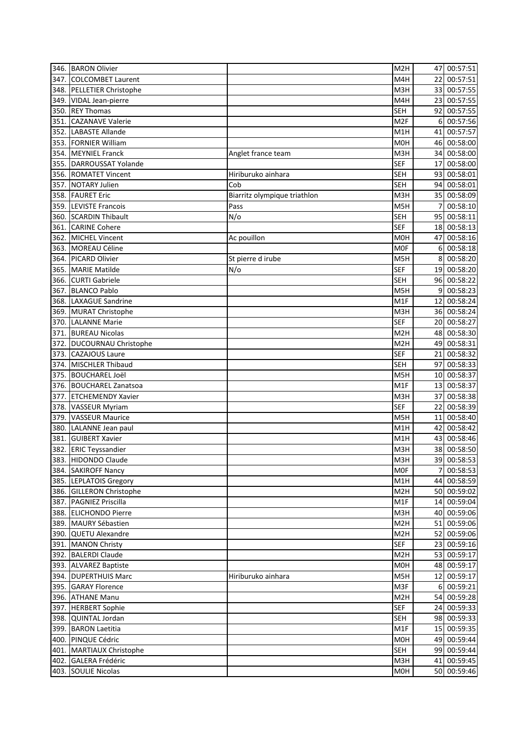|      | 346. BARON Olivier                               |                              | M <sub>2</sub> H |                | 47 00:57:51 |
|------|--------------------------------------------------|------------------------------|------------------|----------------|-------------|
|      | 347. COLCOMBET Laurent                           |                              | M4H              |                | 22 00:57:51 |
|      | 348. PELLETIER Christophe                        |                              | M3H              |                | 33 00:57:55 |
|      | 349. VIDAL Jean-pierre                           |                              | M4H              |                | 23 00:57:55 |
| 350. | <b>REY Thomas</b>                                |                              | <b>SEH</b>       |                | 92 00:57:55 |
| 351. | <b>CAZANAVE Valerie</b>                          |                              | M <sub>2F</sub>  | $6 \mid$       | 00:57:56    |
| 352. | <b>LABASTE Allande</b>                           |                              | M1H              |                | 41 00:57:57 |
|      | 353. FORNIER William                             |                              | M <sub>O</sub> H |                | 46 00:58:00 |
|      | 354. MEYNIEL Franck                              | Anglet france team           | M3H              |                | 34 00:58:00 |
|      | 355. DARROUSSAT Yolande                          |                              | <b>SEF</b>       |                | 17 00:58:00 |
|      | 356. ROMATET Vincent                             | Hiriburuko ainhara           | <b>SEH</b>       |                | 93 00:58:01 |
|      | 357. NOTARY Julien                               | Cob                          | <b>SEH</b>       |                | 94 00:58:01 |
|      | 358. FAURET Eric                                 | Biarritz olympique triathlon | M3H              |                | 35 00:58:09 |
|      | 359. LEVISTE Francois                            | Pass                         | M5H              | $\overline{7}$ | 00:58:10    |
|      | 360. SCARDIN Thibault                            | N/O                          | <b>SEH</b>       |                | 95 00:58:11 |
|      | 361. CARINE Cohere                               |                              | <b>SEF</b>       |                | 18 00:58:13 |
| 362. | MICHEL Vincent                                   | Ac pouillon                  | M <sub>O</sub> H |                | 47 00:58:16 |
| 363. | <b>MOREAU Céline</b>                             |                              | <b>MOF</b>       |                | 6 00:58:18  |
| 364. | <b>PICARD Olivier</b>                            | St pierre d irube            | M5H              |                | 8 00:58:20  |
| 365. | <b>MARIE Matilde</b>                             | $N$ /o                       | <b>SEF</b>       |                | 19 00:58:20 |
|      | 366. CURTI Gabriele                              |                              | <b>SEH</b>       |                | 96 00:58:22 |
| 367. | <b>BLANCO Pablo</b>                              |                              | M5H              |                | 9 00:58:23  |
|      | 368. LAXAGUE Sandrine                            |                              | M <sub>1</sub> F |                | 12 00:58:24 |
|      | 369. MURAT Christophe                            |                              | M3H              |                | 36 00:58:24 |
| 370. | <b>LALANNE Marie</b>                             |                              | <b>SEF</b>       |                | 20 00:58:27 |
| 371. | <b>BUREAU Nicolas</b>                            |                              | M <sub>2</sub> H |                | 48 00:58:30 |
| 372. | DUCOURNAU Christophe                             |                              | M <sub>2</sub> H |                | 49 00:58:31 |
| 373. | <b>CAZAJOUS Laure</b>                            |                              | <b>SEF</b>       | 21             | 00:58:32    |
| 374. | <b>MISCHLER Thibaud</b>                          |                              | <b>SEH</b>       | 97             | 00:58:33    |
|      |                                                  |                              |                  |                |             |
| 375. | <b>BOUCHAREL Joël</b><br>376. BOUCHAREL Zanatsoa |                              | M5H              |                | 10 00:58:37 |
|      |                                                  |                              | M1F              |                | 13 00:58:37 |
| 377. | <b>ETCHEMENDY Xavier</b>                         |                              | M3H              | 37             | 00:58:38    |
|      | 378. VASSEUR Myriam                              |                              | <b>SEF</b>       | 22             | 00:58:39    |
| 379. | <b>VASSEUR Maurice</b>                           |                              | M5H              | 11             | 00:58:40    |
| 380. | LALANNE Jean paul                                |                              | M1H              |                | 42 00:58:42 |
| 381. | <b>GUIBERT Xavier</b>                            |                              | M1H              |                | 43 00:58:46 |
|      | 382. ERIC Teyssandier                            |                              | M3H              |                | 38 00:58:50 |
|      | 383. HIDONDO Claude                              |                              | M3H              |                | 39 00:58:53 |
|      | 384. SAKIROFF Nancy                              |                              | <b>MOF</b>       | 7              | 00:58:53    |
|      | 385. LEPLATOIS Gregory                           |                              | M1H              |                | 44 00:58:59 |
|      | 386. GILLERON Christophe                         |                              | M <sub>2</sub> H |                | 50 00:59:02 |
|      | 387. PAGNIEZ Priscilla                           |                              | M1F              |                | 14 00:59:04 |
|      | 388. ELICHONDO Pierre                            |                              | M3H              |                | 40 00:59:06 |
|      | 389. MAURY Sébastien                             |                              | M2H              |                | 51 00:59:06 |
|      | 390. QUETU Alexandre                             |                              | M <sub>2</sub> H |                | 52 00:59:06 |
| 391. | <b>MANON Christy</b>                             |                              | <b>SEF</b>       |                | 23 00:59:16 |
|      | 392. BALERDI Claude                              |                              | M <sub>2</sub> H |                | 53 00:59:17 |
|      | 393. ALVAREZ Baptiste                            |                              | M0H              |                | 48 00:59:17 |
|      | 394. DUPERTHUIS Marc                             | Hiriburuko ainhara           | M5H              |                | 12 00:59:17 |
|      | 395. GARAY Florence                              |                              | M3F              |                | 6 00:59:21  |
|      | 396. ATHANE Manu                                 |                              | M <sub>2</sub> H |                | 54 00:59:28 |
|      | 397. HERBERT Sophie                              |                              | <b>SEF</b>       |                | 24 00:59:33 |
|      | 398. QUINTAL Jordan                              |                              | <b>SEH</b>       |                | 98 00:59:33 |
| 399. | <b>BARON Laetitia</b>                            |                              | M1F              |                | 15 00:59:35 |
|      | 400. PINQUE Cédric                               |                              | M0H              |                | 49 00:59:44 |
| 401. | MARTIAUX Christophe                              |                              | <b>SEH</b>       |                | 99 00:59:44 |
|      | 402. GALERA Frédéric                             |                              | M3H              |                | 41 00:59:45 |
|      | 403. SOULIE Nicolas                              |                              | M0H              |                | 50 00:59:46 |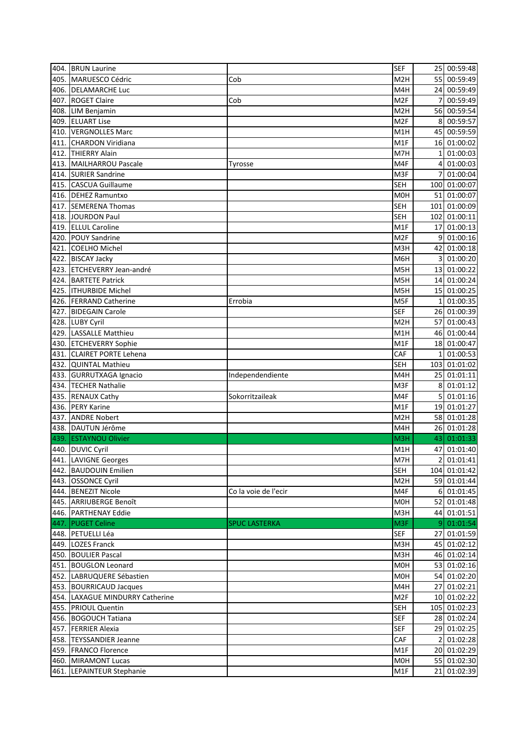|      | 404. BRUN Laurine                                   |                      | <b>SEF</b>       |                 | 25 00:59:48  |
|------|-----------------------------------------------------|----------------------|------------------|-----------------|--------------|
|      | 405. MARUESCO Cédric                                | Cob                  | M <sub>2</sub> H |                 | 55 00:59:49  |
|      | 406. DELAMARCHE Luc                                 |                      | M4H              |                 | 24 00:59:49  |
|      | 407. ROGET Claire                                   | Cob                  | M <sub>2F</sub>  |                 | 00:59:49     |
|      | 408. LIM Benjamin                                   |                      | M <sub>2</sub> H |                 | 56 00:59:54  |
|      | 409. ELUART Lise                                    |                      | M <sub>2F</sub>  | 8               | 00:59:57     |
|      | 410. VERGNOLLES Marc                                |                      | M1H              | 45              | 00:59:59     |
| 411. | <b>CHARDON Viridiana</b>                            |                      | M1F              | 16              | 01:00:02     |
|      | 412. THIERRY Alain                                  |                      | M7H              | 1               | 01:00:03     |
|      | 413. MAILHARROU Pascale                             | Tyrosse              | M4F              | 4               | 01:00:03     |
|      | 414. SURIER Sandrine                                |                      | M3F              | 7               | 01:00:04     |
| 415. | <b>CASCUA Guillaume</b>                             |                      | <b>SEH</b>       |                 | 100 01:00:07 |
|      | 416. DEHEZ Ramuntxo                                 |                      | M <sub>OH</sub>  |                 | 51 01:00:07  |
| 417. | <b>SEMERENA Thomas</b>                              |                      | <b>SEH</b>       |                 | 101 01:00:09 |
|      | 418. JOURDON Paul                                   |                      | <b>SEH</b>       |                 | 102 01:00:11 |
|      | 419. ELLUL Caroline                                 |                      | M1F              |                 | 17 01:00:13  |
| 420. | <b>POUY Sandrine</b>                                |                      | M <sub>2F</sub>  | 9               | 01:00:16     |
| 421. | <b>COELHO Michel</b>                                |                      | M3H              | 42              | 01:00:18     |
|      | 422. BISCAY Jacky                                   |                      | M6H              | 3               | 01:00:20     |
|      | 423. ETCHEVERRY Jean-andré                          |                      | M5H              |                 | 13 01:00:22  |
| 424. | <b>BARTETE Patrick</b>                              |                      | M5H              |                 | 14 01:00:24  |
|      | 425. ITHURBIDE Michel                               |                      | M5H              |                 | 15 01:00:25  |
|      | 426. FERRAND Catherine                              | Errobia              | M5F              | $\mathbf{1}$    | 01:00:35     |
| 427. | <b>BIDEGAIN Carole</b>                              |                      | <b>SEF</b>       |                 | 26 01:00:39  |
|      | 428. LUBY Cyril                                     |                      | M2H              |                 | 57 01:00:43  |
|      | 429. LASSALLE Matthieu                              |                      | M <sub>1</sub> H |                 | 46 01:00:44  |
|      |                                                     |                      | M1F              |                 | 18 01:00:47  |
|      | 430. ETCHEVERRY Sophie<br>431. CLAIRET PORTE Lehena |                      | CAF              |                 | 01:00:53     |
|      | 432. QUINTAL Mathieu                                |                      | <b>SEH</b>       |                 | 103 01:01:02 |
|      |                                                     |                      |                  |                 |              |
|      | 433. GURRUTXAGA Ignacio                             | Independendiente     | M4H              | 25 <sub>l</sub> | 01:01:11     |
|      | 434. TECHER Nathalie                                |                      | M3F              | 8               | 01:01:12     |
|      | 435. RENAUX Cathy                                   | Sokorritzaileak      | M4F              | 5               | 01:01:16     |
|      | 436. PERY Karine                                    |                      | M1F              | 19              | 01:01:27     |
| 437. | <b>ANDRE Nobert</b>                                 |                      | M <sub>2</sub> H |                 | 58 01:01:28  |
| 438. | DAUTUN Jérôme                                       |                      | M4H              |                 | 26 01:01:28  |
| 439. | <b>ESTAYNOU Olivier</b>                             |                      | M3H              | 43              | 01:01:33     |
|      | 440. DUVIC Cyril                                    |                      | M1H              | 47              | 01:01:40     |
|      | 441. LAVIGNE Georges                                |                      | M7H              |                 | 2 01:01:41   |
|      | 442. BAUDOUIN Emilien                               |                      | <b>SEH</b>       |                 | 104 01:01:42 |
|      | 443. OSSONCE Cyril                                  |                      | M <sub>2</sub> H |                 | 59 01:01:44  |
|      | 444. BENEZIT Nicole                                 | Co la voie de l'ecir | M4F              |                 | 6 01:01:45   |
|      | 445. ARRIUBERGE Benoît                              |                      |                  |                 | 52 01:01:48  |
|      |                                                     |                      | M0H              |                 |              |
|      | 446. PARTHENAY Eddie                                |                      | M3H              |                 | 44 01:01:51  |
| 447. | <b>PUGET Celine</b>                                 | <b>SPUC LASTERKA</b> | M3F              |                 | 9 01:01:54   |
|      | 448. PETUELLI Léa                                   |                      | <b>SEF</b>       |                 | 27 01:01:59  |
|      | 449. LOZES Franck                                   |                      | M3H              |                 | 45 01:02:12  |
|      | 450. BOULIER Pascal                                 |                      | M3H              |                 | 46 01:02:14  |
|      | 451. BOUGLON Leonard                                |                      | M0H              |                 | 53 01:02:16  |
|      | 452. LABRUQUERE Sébastien                           |                      | <b>MOH</b>       |                 | 54 01:02:20  |
|      | 453. BOURRICAUD Jacques                             |                      | M4H              |                 | 27 01:02:21  |
|      | 454. LAXAGUE MINDURRY Catherine                     |                      | M <sub>2F</sub>  |                 | 10 01:02:22  |
|      | 455. PRIOUL Quentin                                 |                      | <b>SEH</b>       |                 | 105 01:02:23 |
|      | 456. BOGOUCH Tatiana                                |                      | <b>SEF</b>       |                 | 28 01:02:24  |
|      | 457. FERRIER Alexia                                 |                      | <b>SEF</b>       |                 | 29 01:02:25  |
|      | 458. TEYSSANDIER Jeanne                             |                      | CAF              |                 | 2 01:02:28   |
|      | 459. FRANCO Florence                                |                      | M1F              |                 | 20 01:02:29  |
|      | 460. MIRAMONT Lucas                                 |                      | <b>MOH</b>       |                 | 55 01:02:30  |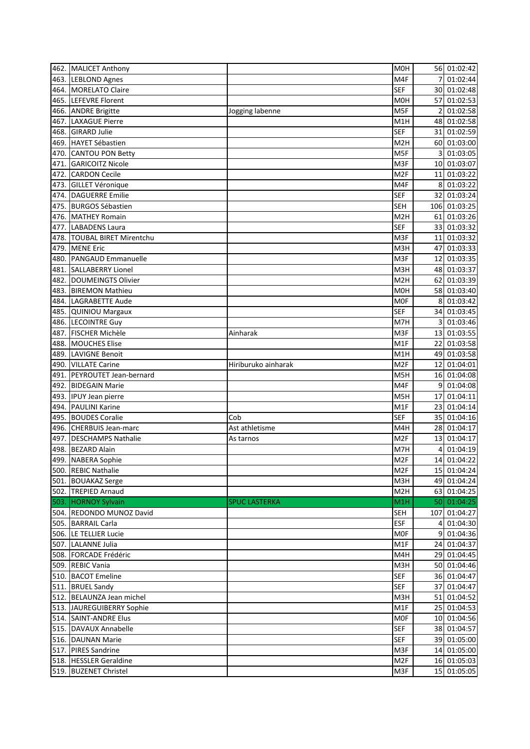|      | 462. MALICET Anthony                            |                      | M0H                    |                 | 56 01:02:42                |
|------|-------------------------------------------------|----------------------|------------------------|-----------------|----------------------------|
|      | 463. LEBLOND Agnes                              |                      | M4F                    |                 | 01:02:44                   |
|      | 464. MORELATO Claire                            |                      | <b>SEF</b>             |                 | 30 01:02:48                |
|      | 465. LEFEVRE Florent                            |                      | M0H                    | 57              | 01:02:53                   |
|      | 466. ANDRE Brigitte                             | Jogging labenne      | M5F                    | $\overline{2}$  | 01:02:58                   |
| 467. | <b>LAXAGUE Pierre</b>                           |                      | M1H                    |                 | 48 01:02:58                |
|      | 468. GIRARD Julie                               |                      | <b>SEF</b>             |                 | 31 01:02:59                |
|      | 469. HAYET Sébastien                            |                      | M <sub>2</sub> H       |                 | 60 01:03:00                |
| 470. | <b>CANTOU PON Betty</b>                         |                      | M5F                    | 3               | 01:03:05                   |
| 471. | <b>GARICOITZ Nicole</b>                         |                      | M3F                    |                 | 10 01:03:07                |
| 472. | <b>CARDON Cecile</b>                            |                      | M <sub>2F</sub>        |                 | 11 01:03:22                |
| 473. | <b>GILLET Véronique</b>                         |                      | M4F                    | 8               | 01:03:22                   |
| 474. | <b>DAGUERRE Emilie</b>                          |                      | <b>SEF</b>             |                 | 32 01:03:24                |
| 475. | <b>BURGOS Sébastien</b>                         |                      | <b>SEH</b>             |                 | 106 01:03:25               |
|      | 476. MATHEY Romain                              |                      | M <sub>2</sub> H       |                 | 61 01:03:26                |
| 477. | <b>LABADENS Laura</b>                           |                      | <b>SEF</b>             |                 | 33 01:03:32                |
| 478. | <b>TOUBAL BIRET Mirentchu</b>                   |                      | M3F                    | 11              | 01:03:32                   |
| 479. | <b>MENE Eric</b>                                |                      | M3H                    |                 | 01:03:33                   |
|      |                                                 |                      |                        | 47              |                            |
| 480. | <b>PANGAUD Emmanuelle</b>                       |                      | M3F                    | 12              | 01:03:35                   |
| 481. | <b>SALLABERRY Lionel</b>                        |                      | M3H                    |                 | 48 01:03:37                |
| 482. | DOUMEINGTS Olivier                              |                      | M <sub>2</sub> H       | 62 I            | 01:03:39                   |
| 483. | <b>BIREMON Mathieu</b>                          |                      | <b>MOH</b>             |                 | 58 01:03:40                |
| 484. | LAGRABETTE Aude                                 |                      | <b>MOF</b>             | 8               | 01:03:42                   |
|      | 485. QUINIOU Margaux                            |                      | <b>SEF</b>             | 34              | 01:03:45                   |
|      | 486. LECOINTRE Guy                              |                      | M7H                    | 3               | 01:03:46                   |
| 487. | <b>FISCHER Michèle</b>                          | Ainharak             | M3F                    | 13 <sup>1</sup> | 01:03:55                   |
|      | 488. MOUCHES Elise                              |                      | M <sub>1</sub> F       | 22              | 01:03:58                   |
| 489. | LAVIGNE Benoit                                  |                      | M1H                    | 49              | 01:03:58                   |
| 490. | <b>VILLATE Carine</b>                           | Hiriburuko ainharak  | M <sub>2F</sub>        | 12              | 01:04:01                   |
| 491. | PEYROUTET Jean-bernard                          |                      | M5H                    | 16              | 01:04:08                   |
| 492. | <b>BIDEGAIN Marie</b>                           |                      | M4F                    | 9               | 01:04:08                   |
| 493. | <b>IPUY Jean pierre</b>                         |                      | M5H                    | 17              | 01:04:11                   |
| 494. | <b>PAULINI Karine</b>                           |                      | M1F                    | 23              | 01:04:14                   |
| 495. | <b>BOUDES Coralie</b>                           | Cob                  | <b>SEF</b>             | 35 I            | 01:04:16                   |
| 496. | <b>CHERBUIS Jean-marc</b>                       | Ast athletisme       | M4H                    | 281             | 01:04:17                   |
| 497. | <b>DESCHAMPS Nathalie</b>                       | As tarnos            | M <sub>2F</sub>        | 13 <sup>l</sup> | 01:04:17                   |
|      | 498. BEZARD Alain                               |                      | M7H                    | 4               | 01:04:19                   |
|      | 499. NABERA Sophie                              |                      | M <sub>2F</sub>        |                 | 14 01:04:22                |
|      | 500. REBIC Nathalie                             |                      | M <sub>2F</sub>        |                 | 15 01:04:24                |
|      | 501. BOUAKAZ Serge                              |                      | M3H                    |                 | 49 01:04:24                |
|      | 502. TREPIED Arnaud                             |                      | M <sub>2</sub> H       |                 | 63 01:04:25                |
| 503. | <b>HORNOY Sylvain</b>                           | <b>SPUC LASTERKA</b> | M1H                    |                 | 50 01:04:25                |
|      | 504. REDONDO MUNOZ David                        |                      | <b>SEH</b>             |                 | 107 01:04:27               |
|      | 505. BARRAIL Carla                              |                      | ESF                    | $\overline{4}$  | 01:04:30                   |
|      | 506. LE TELLIER Lucie                           |                      | <b>MOF</b>             |                 | 9 01:04:36                 |
|      | 507. LALANNE Julia                              |                      | M1F                    |                 | 24 01:04:37                |
|      | 508. FORCADE Frédéric                           |                      | M4H                    |                 | 29 01:04:45                |
|      | 509. REBIC Vania                                |                      | M3H                    |                 | 50 01:04:46                |
|      | 510. BACOT Emeline                              |                      | SEF                    |                 |                            |
|      |                                                 |                      |                        |                 | 36 01:04:47                |
|      |                                                 |                      |                        |                 |                            |
|      | 511. BRUEL Sandy                                |                      | <b>SEF</b>             |                 | 37 01:04:47                |
|      | 512. BELAUNZA Jean michel                       |                      | M3H                    |                 | 51 01:04:52                |
|      | 513. JAUREGUIBERRY Sophie                       |                      | M1F                    |                 | 25 01:04:53                |
|      | 514. SAINT-ANDRE Elus                           |                      | <b>MOF</b>             |                 | 10 01:04:56                |
|      | 515. DAVAUX Annabelle                           |                      | <b>SEF</b>             |                 | 38 01:04:57                |
|      | 516. DAUNAN Marie                               |                      | <b>SEF</b>             |                 | 39 01:05:00                |
|      | 517. PIRES Sandrine                             |                      | M3F                    |                 | 14 01:05:00                |
|      | 518. HESSLER Geraldine<br>519. BUZENET Christel |                      | M <sub>2F</sub><br>M3F |                 | 16 01:05:03<br>15 01:05:05 |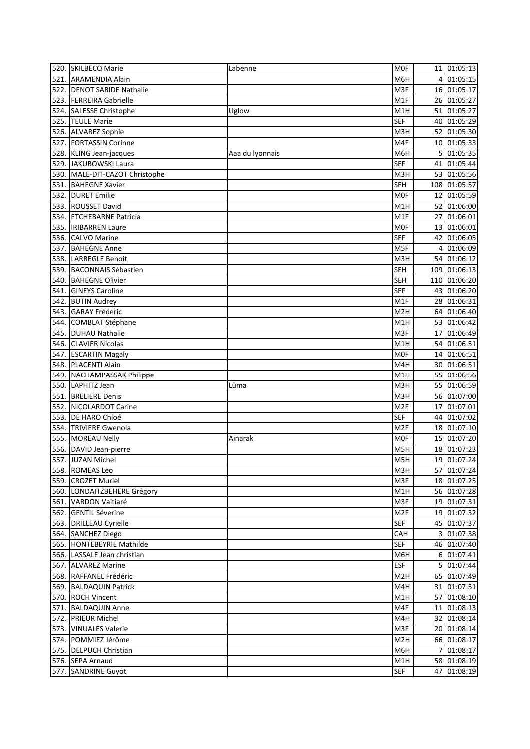|      | 520. SKILBECQ Marie                          | Labenne         | <b>MOF</b>        |      | 11 01:05:13  |
|------|----------------------------------------------|-----------------|-------------------|------|--------------|
|      | 521. ARAMENDIA Alain                         |                 | M6H               | 4    | 01:05:15     |
|      | 522. DENOT SARIDE Nathalie                   |                 | M3F               |      | 16 01:05:17  |
|      | 523. FERREIRA Gabrielle                      |                 | M1F               |      | 26 01:05:27  |
|      | 524. SALESSE Christophe                      | Uglow           | M1H               |      | 51 01:05:27  |
|      | 525. TEULE Marie                             |                 | <b>SEF</b>        |      | 40 01:05:29  |
|      | 526. ALVAREZ Sophie                          |                 | M3H               |      | 52 01:05:30  |
|      | 527. FORTASSIN Corinne                       |                 | M4F               |      | 10 01:05:33  |
|      | 528. KLING Jean-jacques                      | Aaa du lyonnais | M6H               | 5    | 01:05:35     |
|      | 529. JAKUBOWSKI Laura                        |                 | <b>SEF</b>        |      | 41 01:05:44  |
|      | 530. MALE-DIT-CAZOT Christophe               |                 | M3H               |      | 53 01:05:56  |
| 531. | <b>BAHEGNE Xavier</b>                        |                 | <b>SEH</b>        |      | 108 01:05:57 |
|      | 532. DURET Emilie                            |                 | <b>MOF</b>        |      | 12 01:05:59  |
|      | 533. ROUSSET David                           |                 | M1H               |      | 52 01:06:00  |
|      | 534. ETCHEBARNE Patricia                     |                 | M1F               | 27   | 01:06:01     |
|      | 535. <b>IRIBARREN Laure</b>                  |                 | M0F               |      | 13 01:06:01  |
|      | 536. CALVO Marine                            |                 | <b>SEF</b>        |      | 42 01:06:05  |
| 537. | <b>BAHEGNE Anne</b>                          |                 | M5F               | 4    | 01:06:09     |
|      | 538. LARREGLE Benoit                         |                 | M3H               |      | 54 01:06:12  |
| 539. | <b>BACONNAIS Sébastien</b>                   |                 | <b>SEH</b>        |      | 109 01:06:13 |
| 540. | <b>BAHEGNE Olivier</b>                       |                 | <b>SEH</b>        |      | 110 01:06:20 |
| 541. | <b>GINEYS Caroline</b>                       |                 | <b>SEF</b>        |      | 43 01:06:20  |
|      | 542. BUTIN Audrey                            |                 | M1F               |      | 28 01:06:31  |
| 543. | <b>GARAY Frédéric</b>                        |                 | M <sub>2</sub> H  |      | 64 01:06:40  |
|      | 544. COMBLAT Stéphane                        |                 | M1H               | 53 I | 01:06:42     |
| 545. | <b>DUHAU Nathalie</b>                        |                 | M3F               | 17   | 01:06:49     |
|      | 546. CLAVIER Nicolas                         |                 | M1H               | 54   | 01:06:51     |
|      | 547. ESCARTIN Magaly                         |                 | <b>MOF</b>        | 14   | 01:06:51     |
|      | 548. PLACENTI Alain                          |                 | M4H               |      | 30 01:06:51  |
|      | 549. NACHAMPASSAK Philippe                   |                 | M1H               |      | 55 01:06:56  |
|      | 550. LAPHITZ Jean                            |                 | M3H               |      | 55 01:06:59  |
|      |                                              | Lüma            | M3H               |      | 56 01:07:00  |
| 551. | <b>BRELIERE</b> Denis                        |                 |                   |      |              |
|      | 552. NICOLARDOT Carine<br>553. DE HARO Chloé |                 | M2F<br><b>SEF</b> | 17   | 01:07:01     |
|      | 554. TRIVIERE Gwenola                        |                 |                   | 44   | 01:07:02     |
|      |                                              |                 | M2F               |      | 18 01:07:10  |
|      | 555. MOREAU Nelly                            | Ainarak         | <b>MOF</b>        |      | 15 01:07:20  |
|      | 556. DAVID Jean-pierre                       |                 | M5H               |      | 18 01:07:23  |
|      | 557. JUZAN Michel                            |                 | M5H               |      | 19 01:07:24  |
|      | 558. ROMEAS Leo                              |                 | M3H               |      | 57 01:07:24  |
|      | 559. CROZET Muriel                           |                 | M3F               |      | 18 01:07:25  |
|      | 560. LONDAITZBEHERE Grégory                  |                 | M1H               |      | 56 01:07:28  |
|      | 561. VARDON Vaitiaré                         |                 | M3F               |      | 19 01:07:31  |
|      | 562. GENTIL Séverine                         |                 | M <sub>2F</sub>   |      | 19 01:07:32  |
|      | 563. DRILLEAU Cyrielle                       |                 | SEF               |      | 45 01:07:37  |
|      | 564. SANCHEZ Diego                           |                 | CAH               |      | 3 01:07:38   |
|      | 565. HONTEBEYRIE Mathilde                    |                 | <b>SEF</b>        |      | 46 01:07:40  |
|      | 566. LASSALE Jean christian                  |                 | M6H               |      | 6 01:07:41   |
|      | 567. ALVAREZ Marine                          |                 | <b>ESF</b>        |      | 5 01:07:44   |
|      | 568. RAFFANEL Frédéric                       |                 | M <sub>2</sub> H  |      | 65 01:07:49  |
|      | 569. BALDAQUIN Patrick                       |                 | M4H               |      | 31 01:07:51  |
|      | 570. ROCH Vincent                            |                 | M1H               |      | 57 01:08:10  |
|      | 571. BALDAQUIN Anne                          |                 | M4F               |      | 11 01:08:13  |
|      | 572. PRIEUR Michel                           |                 | M4H               |      | 32 01:08:14  |
|      | 573. VINUALES Valerie                        |                 | M3F               |      | 20 01:08:14  |
|      | 574. POMMIEZ Jérôme                          |                 | M <sub>2</sub> H  |      | 66 01:08:17  |
|      | 575. DELPUCH Christian                       |                 | M6H               | 7    | 01:08:17     |
|      | 576. SEPA Arnaud                             |                 | M1H               |      | 58 01:08:19  |
|      | 577. SANDRINE Guyot                          |                 | <b>SEF</b>        |      | 47 01:08:19  |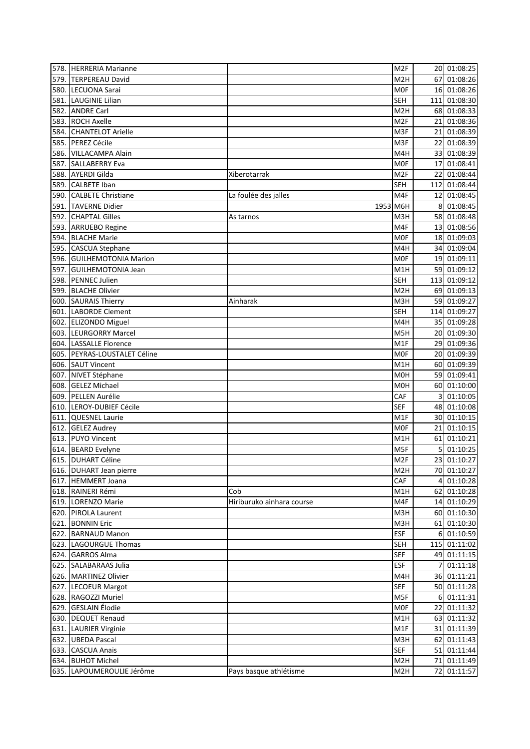|      | 578. HERRERIA Marianne                                 |                           | M <sub>2F</sub>   |                | 20 01:08:25  |
|------|--------------------------------------------------------|---------------------------|-------------------|----------------|--------------|
| 579. | <b>TERPEREAU David</b>                                 |                           | M <sub>2</sub> H  | 67             | 01:08:26     |
|      | 580. LECUONA Sarai                                     |                           | <b>MOF</b>        |                | 16 01:08:26  |
| 581. | <b>LAUGINIE Lilian</b>                                 |                           | <b>SEH</b>        |                | 111 01:08:30 |
| 582. | <b>ANDRE Carl</b>                                      |                           | M <sub>2</sub> H  |                | 68 01:08:33  |
|      | 583. ROCH Axelle                                       |                           | M <sub>2F</sub>   |                | 21 01:08:36  |
|      | 584. CHANTELOT Arielle                                 |                           | M3F               |                | 21 01:08:39  |
|      | 585. PEREZ Cécile                                      |                           | M3F               |                | 22 01:08:39  |
|      | 586. VILLACAMPA Alain                                  |                           | M4H               |                | 33 01:08:39  |
| 587. | <b>SALLABERRY Eva</b>                                  |                           | <b>MOF</b>        |                | 17 01:08:41  |
|      | 588. AYERDI Gilda                                      | Xiberotarrak              | M <sub>2F</sub>   |                | 22 01:08:44  |
|      | 589. CALBETE Iban                                      |                           | <b>SEH</b>        |                | 112 01:08:44 |
|      | 590. CALBETE Christiane                                | La foulée des jalles      | M4F               |                | 12 01:08:45  |
| 591. | <b>TAVERNE Didier</b>                                  | 1953 M6H                  |                   | 8              | 01:08:45     |
|      | 592. CHAPTAL Gilles                                    | As tarnos                 | M3H               |                | 58 01:08:48  |
|      | 593. ARRUEBO Regine                                    |                           | M4F               |                | 13 01:08:56  |
|      | 594. BLACHE Marie                                      |                           | <b>MOF</b>        |                | 18 01:09:03  |
|      | 595. CASCUA Stephane                                   |                           | M4H               |                | 34 01:09:04  |
|      | 596. GUILHEMOTONIA Marion                              |                           | <b>MOF</b>        |                | 19 01:09:11  |
|      | 597. GUILHEMOTONIA Jean                                |                           | M1H               |                | 59 01:09:12  |
|      | 598. PENNEC Julien                                     |                           | <b>SEH</b>        |                | 113 01:09:12 |
|      | 599. BLACHE Olivier                                    |                           | M <sub>2</sub> H  |                | 69 01:09:13  |
|      | 600. SAURAIS Thierry                                   | Ainharak                  | M3H               |                | 59 01:09:27  |
| 601. | <b>LABORDE Clement</b>                                 |                           | <b>SEH</b>        |                | 114 01:09:27 |
|      | 602. ELIZONDO Miguel                                   |                           | M4H               |                | 35 01:09:28  |
|      | 603. LEURGORRY Marcel                                  |                           | M5H               |                | 20 01:09:30  |
|      |                                                        |                           |                   |                |              |
|      | 604. LASSALLE Florence<br>605. PEYRAS-LOUSTALET Céline |                           | M1F<br><b>MOF</b> |                | 29 01:09:36  |
|      |                                                        |                           |                   |                | 20 01:09:39  |
|      | 606. SAUT Vincent                                      |                           | M1H               |                | 60 01:09:39  |
| 607. | NIVET Stéphane                                         |                           | <b>MOH</b>        |                | 59 01:09:41  |
|      | 608. GELEZ Michael                                     |                           | M <sub>O</sub> H  |                | 60 01:10:00  |
|      | 609. PELLEN Aurélie                                    |                           | CAF               | 3              | 01:10:05     |
| 610. | LEROY-DUBIEF Cécile                                    |                           | <b>SEF</b>        |                | 48 01:10:08  |
| 611. | <b>QUESNEL Laurie</b>                                  |                           | M1F               |                | 30 01:10:15  |
| 612. | <b>GELEZ Audrey</b>                                    |                           | <b>MOF</b>        | 21             | 01:10:15     |
|      | 613. PUYO Vincent                                      |                           | M1H               |                | 61 01:10:21  |
|      | 614. BEARD Evelyne                                     |                           | M5F               | 5              | 01:10:25     |
|      | 615. DUHART Céline                                     |                           | M <sub>2F</sub>   |                | 23 01:10:27  |
|      | 616. DUHART Jean pierre                                |                           | M <sub>2</sub> H  |                | 70 01:10:27  |
|      | 617. HEMMERT Joana                                     |                           | CAF               | 4              | 01:10:28     |
|      | 618. RAINERI Rémi                                      | Cob                       | M1H               |                | 62 01:10:28  |
|      | 619. LORENZO Marie                                     | Hiriburuko ainhara course | M4F               |                | 14 01:10:29  |
|      | 620. PIROLA Laurent                                    |                           | M3H               |                | 60 01:10:30  |
|      | 621. BONNIN Eric                                       |                           | M3H               |                | 61 01:10:30  |
|      | 622. BARNAUD Manon                                     |                           | <b>ESF</b>        |                | 6 01:10:59   |
|      | 623. LAGOURGUE Thomas                                  |                           | <b>SEH</b>        |                | 115 01:11:02 |
|      | 624. GARROS Alma                                       |                           | <b>SEF</b>        |                | 49 01:11:15  |
|      | 625. SALABARAAS Julia                                  |                           | ESF               | $\overline{7}$ | 01:11:18     |
|      | 626. MARTINEZ Olivier                                  |                           | M4H               |                | 36 01:11:21  |
|      | 627. LECOEUR Margot                                    |                           | <b>SEF</b>        |                | 50 01:11:28  |
|      | 628. RAGOZZI Muriel                                    |                           | M5F               |                | 6 01:11:31   |
|      | 629. GESLAIN Élodie                                    |                           | <b>MOF</b>        |                | 22 01:11:32  |
|      | 630. DEQUET Renaud                                     |                           | M1H               |                | 63 01:11:32  |
|      | 631. LAURIER Virginie                                  |                           | M1F               |                | 31 01:11:39  |
| 632. | <b>UBEDA Pascal</b>                                    |                           | M3H               |                | 62 01:11:43  |
|      | 633. CASCUA Anais                                      |                           | <b>SEF</b>        |                | 51 01:11:44  |
|      | 634. BUHOT Michel                                      |                           | M <sub>2</sub> H  |                | 71 01:11:49  |
| 635. | LAPOUMEROULIE Jérôme                                   | Pays basque athlétisme    | M <sub>2</sub> H  |                | 72 01:11:57  |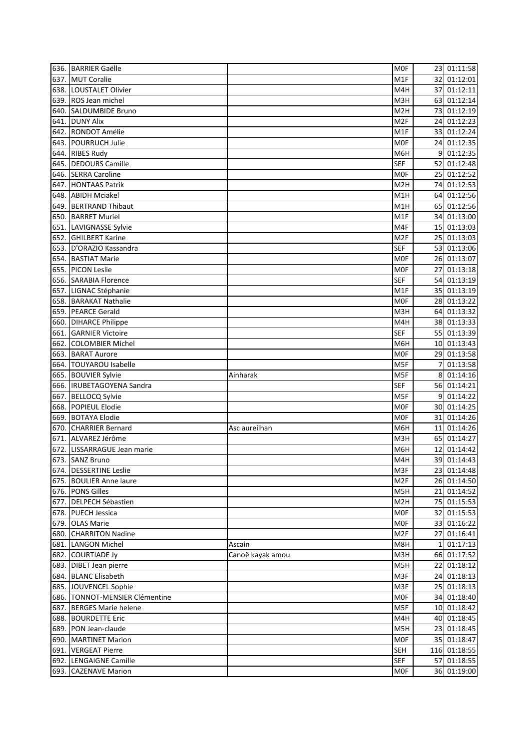|      | 636. BARRIER Gaëlle                              |                  | <b>MOF</b>        |      | 23 01:11:58                |
|------|--------------------------------------------------|------------------|-------------------|------|----------------------------|
|      | 637. MUT Coralie                                 |                  | M1F               |      | 32 01:12:01                |
|      | 638. LOUSTALET Olivier                           |                  | M4H               |      | 37 01:12:11                |
|      | 639. ROS Jean michel                             |                  | M3H               |      | 63 01:12:14                |
|      | 640. SALDUMBIDE Bruno                            |                  | M <sub>2</sub> H  |      | 73 01:12:19                |
| 641. | <b>DUNY Alix</b>                                 |                  | M <sub>2F</sub>   | 24   | 01:12:23                   |
|      | 642. RONDOT Amélie                               |                  | M1F               |      | 33 01:12:24                |
|      | 643. POURRUCH Julie                              |                  | <b>MOF</b>        |      | 24 01:12:35                |
|      | 644. RIBES Rudy                                  |                  | M6H               | 9    | 01:12:35                   |
|      | 645. DEDOURS Camille                             |                  | <b>SEF</b>        |      | 52 01:12:48                |
|      | 646. SERRA Caroline                              |                  | <b>MOF</b>        |      | 25 01:12:52                |
|      | 647. HONTAAS Patrik                              |                  | M <sub>2</sub> H  |      | 74 01:12:53                |
|      | 648. ABIDH Mciakel                               |                  | M1H               |      | 64 01:12:56                |
|      | 649. BERTRAND Thibaut                            |                  | M1H               |      | 65 01:12:56                |
|      | 650. BARRET Muriel                               |                  | M1F               |      | 34 01:13:00                |
|      | 651. LAVIGNASSE Sylvie                           |                  | M4F               |      | 15 01:13:03                |
|      | 652. GHILBERT Karine                             |                  | M <sub>2F</sub>   |      | 25 01:13:03                |
| 653. | D'ORAZIO Kassandra                               |                  | <b>SEF</b>        |      | 53 01:13:06                |
|      | 654. BASTIAT Marie                               |                  | <b>MOF</b>        |      | 26 01:13:07                |
|      | 655. PICON Leslie                                |                  | M <sub>OF</sub>   |      | 27 01:13:18                |
|      | 656. SARABIA Florence                            |                  | <b>SEF</b>        |      | 54 01:13:19                |
|      | 657. LIGNAC Stéphanie                            |                  | M1F               |      | 35 01:13:19                |
|      | 658. BARAKAT Nathalie                            |                  | M <sub>OF</sub>   |      | 28 01:13:22                |
|      | 659. PEARCE Gerald                               |                  | M3H               |      | 64 01:13:32                |
|      | 660. DIHARCE Philippe                            |                  | M4H               |      | 38 01:13:33                |
| 661. | <b>GARNIER Victoire</b>                          |                  | <b>SEF</b>        |      | 55 01:13:39                |
| 662. | <b>COLOMBIER Michel</b>                          |                  | M6H               |      | 10 01:13:43                |
|      | 663. BARAT Aurore                                |                  | M <sub>OF</sub>   |      | 29 01:13:58                |
|      | 664. TOUYAROU Isabelle                           |                  | M5F               | 7    | 01:13:58                   |
|      |                                                  |                  |                   |      |                            |
|      | 665. BOUVIER Sylvie<br>666. IRUBETAGOYENA Sandra | Ainharak         | M5F<br><b>SEF</b> | 8    | 01:14:16<br>56 01:14:21    |
|      |                                                  |                  |                   | 9    |                            |
| 667. | <b>BELLOCQ Sylvie</b>                            |                  | M5F               |      | 01:14:22                   |
| 668. | POPIEUL Elodie                                   |                  | M <sub>OF</sub>   |      | 30 01:14:25<br>01:14:26    |
| 669. | <b>BOTAYA Elodie</b><br><b>CHARRIER Bernard</b>  |                  | <b>MOF</b>        | 31 I | 01:14:26                   |
| 670. |                                                  | Asc aureilhan    | M6H               | 11   | 65 01:14:27                |
| 671. | ALVAREZ Jérôme                                   |                  | M3H               |      |                            |
|      | 672. LISSARRAGUE Jean marie                      |                  | M6H               |      | 12 01:14:42<br>39 01:14:43 |
|      | 673. SANZ Bruno                                  |                  | M4H               |      |                            |
|      | 674. DESSERTINE Leslie                           |                  | M3F               |      | 23 01:14:48                |
|      | 675. BOULIER Anne laure                          |                  | M <sub>2F</sub>   |      | 26 01:14:50                |
|      | 676. PONS Gilles                                 |                  | M5H               |      | 21 01:14:52                |
|      | 677. DELPECH Sébastien                           |                  | M <sub>2</sub> H  |      | 75 01:15:53                |
|      | 678. PUECH Jessica                               |                  | <b>MOF</b>        |      | 32 01:15:53                |
|      | 679. OLAS Marie                                  |                  | <b>MOF</b>        |      | 33 01:16:22                |
|      | 680. CHARRITON Nadine                            |                  | M2F               |      | 27 01:16:41                |
|      | 681. LANGON Michel                               | Ascain           | M8H               | 1    | 01:17:13                   |
|      | 682. COURTIADE Jy                                | Canoë kayak amou | M3H               |      | 66 01:17:52                |
|      | 683. DIBET Jean pierre                           |                  | M5H               |      | 22 01:18:12                |
|      | 684. BLANC Elisabeth                             |                  | M3F               |      | 24 01:18:13                |
|      | 685. JOUVENCEL Sophie                            |                  | M3F               |      | 25 01:18:13                |
|      | 686. TONNOT-MENSIER Clémentine                   |                  | <b>MOF</b>        |      | 34 01:18:40                |
|      | 687. BERGES Marie helene                         |                  | M5F               |      | 10 01:18:42                |
|      | 688. BOURDETTE Eric                              |                  | M4H               |      | 40 01:18:45                |
|      | 689. PON Jean-claude                             |                  | M5H               |      | 23 01:18:45                |
|      | 690. MARTINET Marion                             |                  | <b>MOF</b>        |      | 35 01:18:47                |
| 691. | <b>VERGEAT Pierre</b>                            |                  | <b>SEH</b>        |      | 116 01:18:55               |
|      | 692. LENGAIGNE Camille                           |                  | <b>SEF</b>        |      | 57 01:18:55                |
|      | 693. CAZENAVE Marion                             |                  | <b>MOF</b>        |      | 36 01:19:00                |